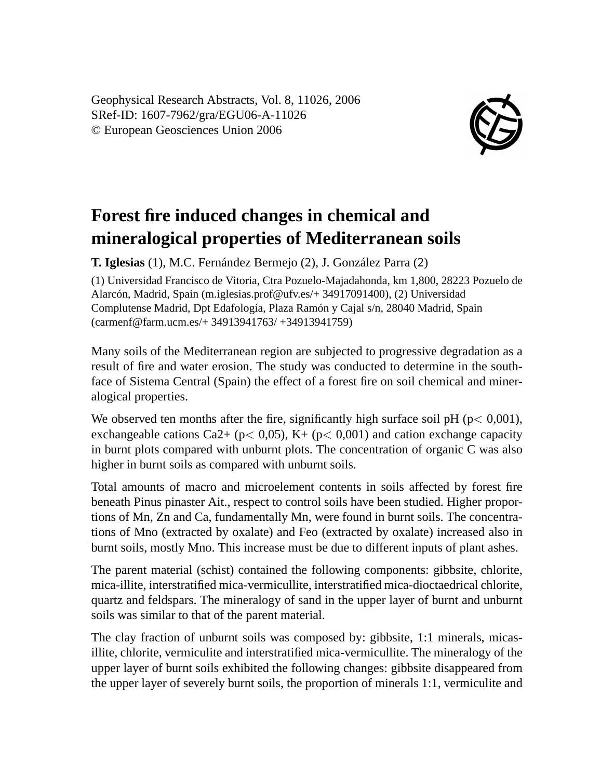Geophysical Research Abstracts, Vol. 8, 11026, 2006 SRef-ID: 1607-7962/gra/EGU06-A-11026 © European Geosciences Union 2006



## **Forest fire induced changes in chemical and mineralogical properties of Mediterranean soils**

**T. Iglesias** (1), M.C. Fernández Bermejo (2), J. González Parra (2)

(1) Universidad Francisco de Vitoria, Ctra Pozuelo-Majadahonda, km 1,800, 28223 Pozuelo de Alarcón, Madrid, Spain (m.iglesias.prof@ufv.es/+ 34917091400), (2) Universidad Complutense Madrid, Dpt Edafología, Plaza Ramón y Cajal s/n, 28040 Madrid, Spain (carmenf@farm.ucm.es/+ 34913941763/ +34913941759)

Many soils of the Mediterranean region are subjected to progressive degradation as a result of fire and water erosion. The study was conducted to determine in the southface of Sistema Central (Spain) the effect of a forest fire on soil chemical and mineralogical properties.

We observed ten months after the fire, significantly high surface soil pH ( $p < 0.001$ ), exchangeable cations Ca2+ ( $p < 0.05$ ), K+ ( $p < 0.001$ ) and cation exchange capacity in burnt plots compared with unburnt plots. The concentration of organic C was also higher in burnt soils as compared with unburnt soils.

Total amounts of macro and microelement contents in soils affected by forest fire beneath Pinus pinaster Ait., respect to control soils have been studied. Higher proportions of Mn, Zn and Ca, fundamentally Mn, were found in burnt soils. The concentrations of Mno (extracted by oxalate) and Feo (extracted by oxalate) increased also in burnt soils, mostly Mno. This increase must be due to different inputs of plant ashes.

The parent material (schist) contained the following components: gibbsite, chlorite, mica-illite, interstratified mica-vermicullite, interstratified mica-dioctaedrical chlorite, quartz and feldspars. The mineralogy of sand in the upper layer of burnt and unburnt soils was similar to that of the parent material.

The clay fraction of unburnt soils was composed by: gibbsite, 1:1 minerals, micasillite, chlorite, vermiculite and interstratified mica-vermicullite. The mineralogy of the upper layer of burnt soils exhibited the following changes: gibbsite disappeared from the upper layer of severely burnt soils, the proportion of minerals 1:1, vermiculite and